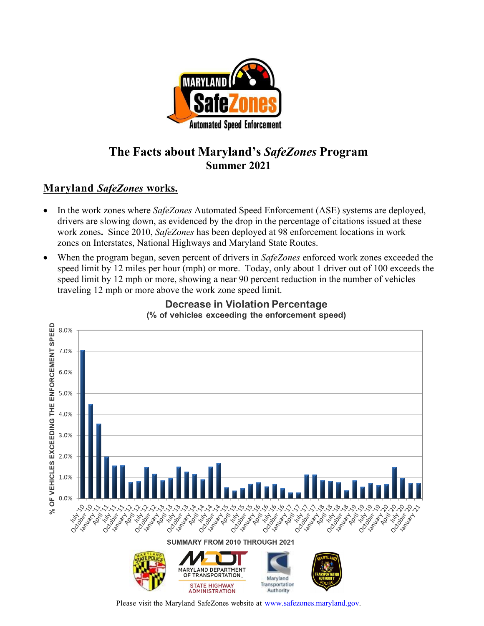

# **The Facts about Maryland's** *SafeZones* **Program Summer 2021**

# **Maryland** *SafeZones* **works.**

- In the work zones where *SafeZones* Automated Speed Enforcement (ASE) systems are deployed, drivers are slowing down, as evidenced by the drop in the percentage of citations issued at these work zones**.** Since 2010, *SafeZones* has been deployed at 98 enforcement locations in work zones on Interstates, National Highways and Maryland State Routes.
- When the program began, seven percent of drivers in *SafeZones* enforced work zones exceeded the speed limit by 12 miles per hour (mph) or more. Today, only about 1 driver out of 100 exceeds the speed limit by 12 mph or more, showing a near 90 percent reduction in the number of vehicles traveling 12 mph or more above the work zone speed limit.



#### **Decrease in Violation Percentage** (% of vehicles exceeding the enforcement speed)

Please visit the Maryland SafeZones website at [www.safezones.maryland.gov.](http://www.safezones.maryland.gov/)

STATE HIGHWAY

**ADMINISTRATION** 

Maryland Transportation

Authority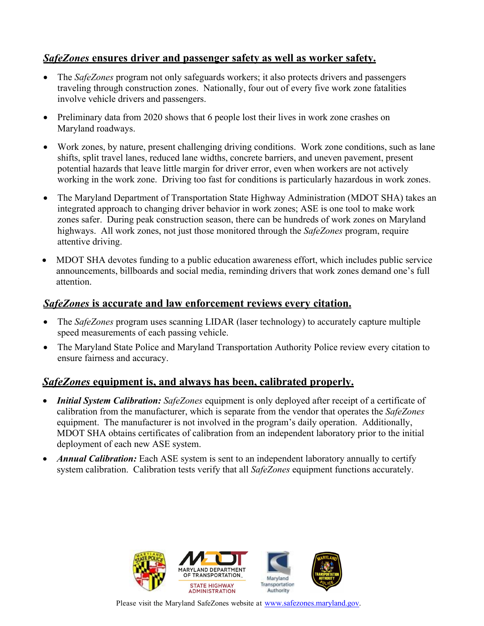# *SafeZones* **ensures driver and passenger safety as well as worker safety.**

- The *SafeZones* program not only safeguards workers; it also protects drivers and passengers traveling through construction zones. Nationally, four out of every five work zone fatalities involve vehicle drivers and passengers.
- Preliminary data from 2020 shows that 6 people lost their lives in work zone crashes on Maryland roadways.
- Work zones, by nature, present challenging driving conditions. Work zone conditions, such as lane shifts, split travel lanes, reduced lane widths, concrete barriers, and uneven pavement, present potential hazards that leave little margin for driver error, even when workers are not actively working in the work zone. Driving too fast for conditions is particularly hazardous in work zones.
- The Maryland Department of Transportation State Highway Administration (MDOT SHA) takes an integrated approach to changing driver behavior in work zones; ASE is one tool to make work zones safer. During peak construction season, there can be hundreds of work zones on Maryland highways. All work zones, not just those monitored through the *SafeZones* program, require attentive driving.
- MDOT SHA devotes funding to a public education awareness effort, which includes public service announcements, billboards and social media, reminding drivers that work zones demand one's full attention.

### *SafeZones* **is accurate and law enforcement reviews every citation.**

- The *SafeZones* program uses scanning LIDAR (laser technology) to accurately capture multiple speed measurements of each passing vehicle.
- The Maryland State Police and Maryland Transportation Authority Police review every citation to ensure fairness and accuracy.

# *SafeZones* **equipment is, and always has been, calibrated properly.**

- *Initial System Calibration: SafeZones* equipment is only deployed after receipt of a certificate of calibration from the manufacturer, which is separate from the vendor that operates the *SafeZones* equipment. The manufacturer is not involved in the program's daily operation. Additionally, MDOT SHA obtains certificates of calibration from an independent laboratory prior to the initial deployment of each new ASE system.
- *Annual Calibration:* Each ASE system is sent to an independent laboratory annually to certify system calibration. Calibration tests verify that all *SafeZones* equipment functions accurately.



Please visit the Maryland SafeZones website at [www.safezones.maryland.gov.](http://www.safezones.maryland.gov/)